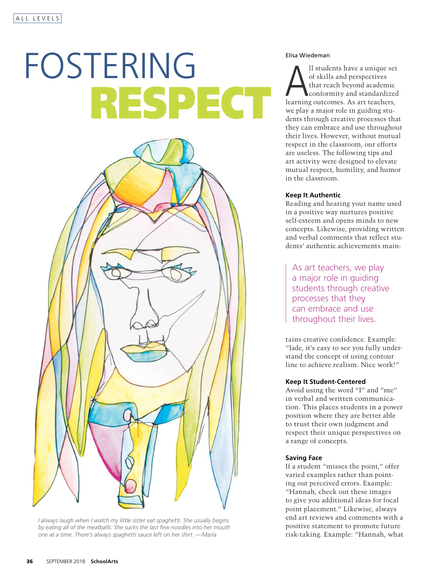# FOSTERING Elisa Wiedeman RESPECT



*I always laugh when I watch my little sister eat spaghetti. She usually begins by eating all of the meatballs. She sucks the last few noodles into her mouth one at a time. There's always spaghetti sauce left on her shirt. —Maria*

Il students have a unique set<br>of skills and perspectives<br>that reach beyond academic<br>conformity and standardized<br>learning outcomes. As art teachers, ll students have a unique set of skills and perspectives that reach beyond academic conformity and standardized we play a major role in guiding students through creative processes that they can embrace and use throughout their lives. However, without mutual respect in the classroom, our efforts are useless. The following tips and art activity were designed to elevate mutual respect, humility, and humor in the classroom.

#### **Keep It Authentic**

Reading and hearing your name used in a positive way nurtures positive self-esteem and opens minds to new concepts. Likewise, providing written and verbal comments that reflect students' authentic achievements main-

As art teachers, we pla a major role in guiding students through creative processes that the can embrace and use throughout their lives.

tains creative confidence. Example: "Jade, it's easy to see you fully understand the concept of using contour line to achieve realism. Nice work!"

#### **Keep It Student-Centered**

Avoid using the word "I" and "me" in verbal and written communication. This places students in a power position where they are better able to trust their own judgment and respect their unique perspectives on a range of concepts.

#### **Saving Face**

If a student "misses the point," offer varied examples rather than pointing out perceived errors. Example: "Hannah, check out these images to give you additional ideas for focal point placement." Likewise, always end art reviews and comments with a positive statement to promote future risk-taking. Example: "Hannah, what